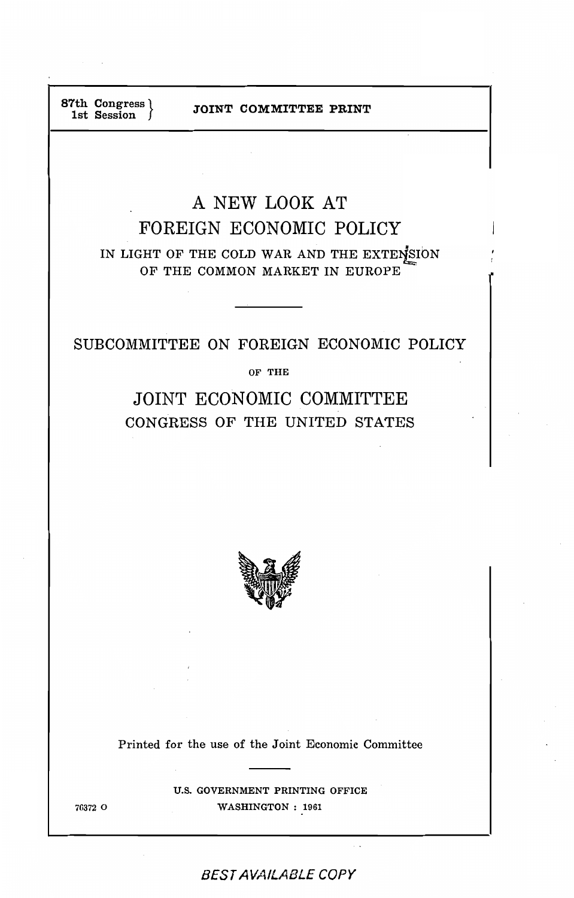87th Congress }<br>1st Session }

JOINT COMMITTEE PRINT

# A NEW LOOK AT<br>**FOREIGN ECONOMIC POLICY**

IN LIGHT OF THE COLD WAR AND THE EXTENSION OF THE COMMON MARKET IN EUROPE

# SUBCOMMITTEE ON FOREIGN ECONOMIC POLICY

OF THE

# JOINT ECONOMIC COMMITTEE CONGRESS OF THE UNITED STATES



Printed for the use of the Joint Erconomic Committee

u.s. GOVERNMENT PRINTING OFFICE 7G372 0 WASHINGTON : 1961

# BESTAVAILABLE COpy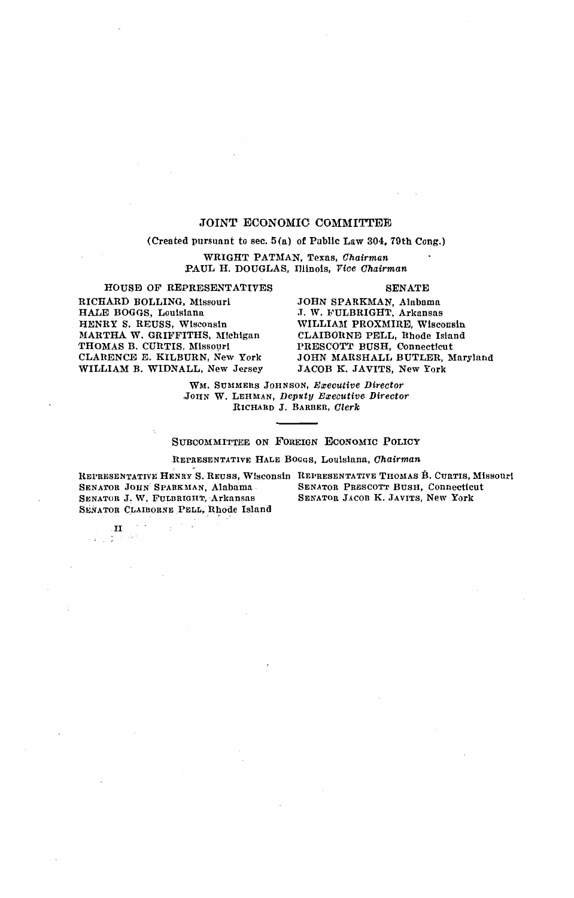## JOINT ECONOMIC COMMITTEE

### (Created pursuant to sec. 5(a) of Public Law 304, 79th Cong.)

## WRIGHT PATMAN, Texas, *Ohairman* PAUL H. DOUGLAS, Illinois, *Vice Ohairman*

#### HOUSE OF REPRESENTATIVES

RICHARD BOLLING, Missouri HALE BOGGS, Louisiana HENRY S. REUSS, Wisconsin MARTHA W. GRIFFITHS, Michigan THOMAS B. CURTIS, Missouri CLARENCE E. KILBURN, New York WILLIAM B. WIDNALL, New Jersey

## SENATE

JOHN SPARKMAN, Alabama J. W. FULBRIGHT, Arkansas WILLIAM PROXMIRE, Wisconsin CLAIBORNE PELL, Rhode Island PRESCOTT BUSH, Connecticut JOHN MARSHALl, BUTLER, Maryland JACOB K. JAVITS, New York

WM. SUMMERS JOHNSON, *Executive Director* ,JoHN W. LEHMAN, *Deputy Ea:ecutive Director* RICHARD J. BARBER, *Clerk*

## SUBCOMMITTEE ON FOREIGN ECONOMIC POLICY

## REPRESENTATIVE HALE BOGGS, Louisiana, *Ohairman*

SENATOR JOHN SPARKMAN, Alabama SENATOR PRESCOTT BUSH, Connecticute SENATOR J. W. FULBRIGHT, Arkansas SENATOR JACOB K. JAVITS, New York SENATOR J. W. FULBRIGHT, Arkansas SENATOR CLAIBORNE PELL, Rhode Island

II

REPRESENTATIVE HENRY S. REUSS, Wisconsin REPRESENTATIVE THOMAS B. CURTIS, Missouri<br>SENATOR JOHN SPARKMAN, Alabama SENATOR PRESCOTT BUSH, Connecticut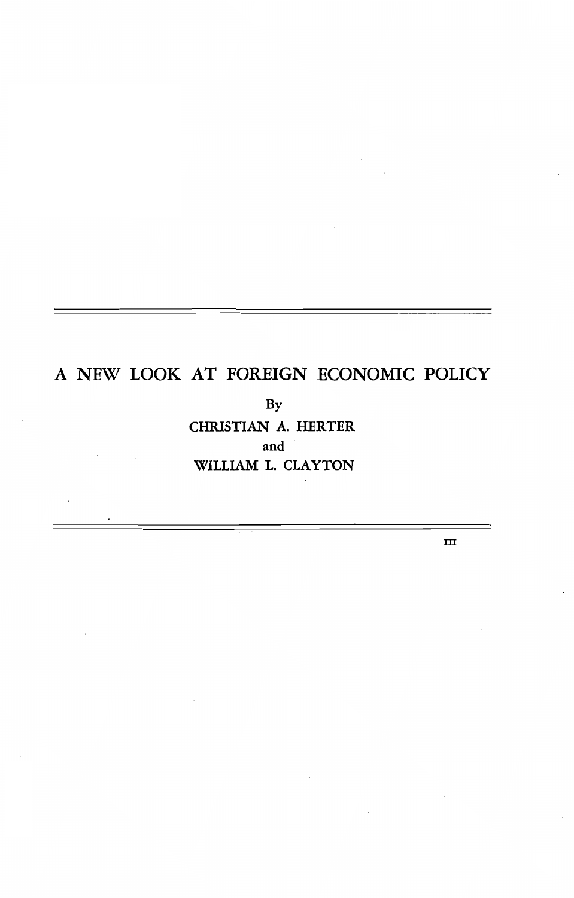# A NEW LOOK AT FOREIGN ECONOMIC POLICY

By

CHRISTIAN A. HERTER and WILLIAM L. CLAYTON

III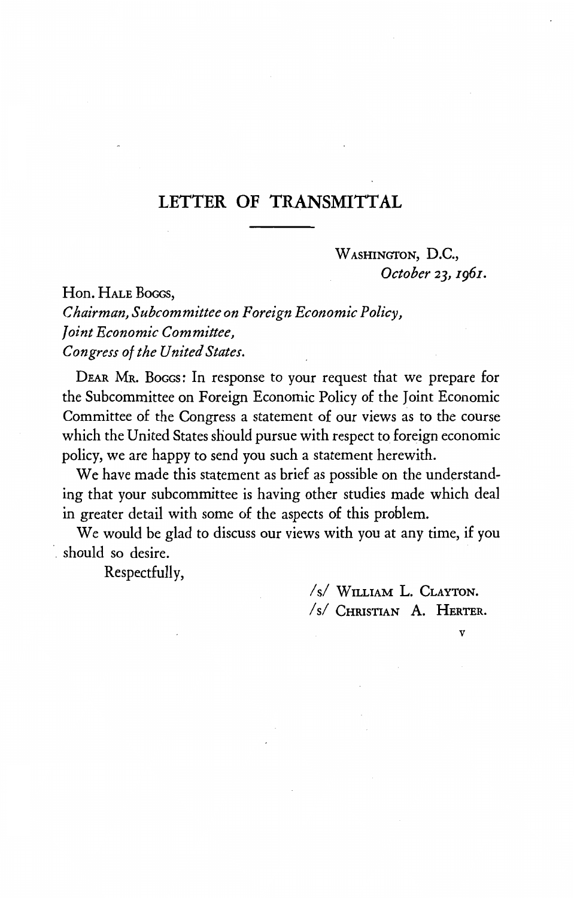# **LETTER OF TRANSMITTAL**

WASHINGTON, D.C., *October* 23, 1961.

Hon. HALE Boggs,

*Chairman, Subcommittee on Foreign Economic Policy, Joint Economic Committee, Congress of the United States.*

DEAR MR. BOGGs: In response to your request that we prepare for the Subcommittee on Foreign Economic Policy of the Joint Economic Committee of the Congress a statement of our views as to the course which the United States should pursue with respect to foreign economic policy, we are happy to send you such a statement herewith.

We have made this statement as brief as possible on the understanding that your subcommittee is having other studies made which deal in greater detail with some of the aspects of this problem.

We would be glad to discuss our views with you at any time, if you should so desire.

Respectfully,

*lsi* WILLIAM L. CLAYTON. *Isl* CHRISTIAN A. HERTER.

v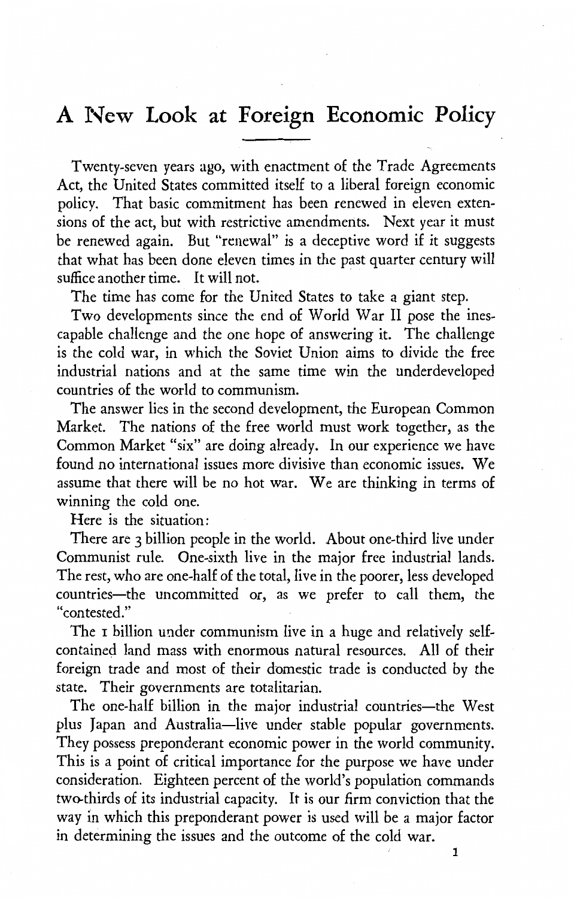# A New Look at Foreign Economic Policy

Twenty-seven years ago, with enactment of the Trade Agreements Act, the United States committed itself to a liberal foreign economic policy. That basic commitment has been renewed in eleven extensions of the act, but with restrictive amendments. Next year it must be renewed again. But "renewal" is a deceptive word if it suggests that what has been done eleven times in the past quarter century will suffice another time. It will not.

The time has come for the United States to take a giant step.

Two developments since the end of World War II pose the inescapable challenge and the one hope of answering it. The challenge is the cold war, in which the Soviet Union aims to divide the free industrial nations and at the same time win the underdeveloped countries of the world to communism.

The answer lies in the second development, the European Common Market. The nations of the free world must work together, as the Common Market "six" are doing already. In our experience we have found no international issues more divisive than economic issues. We assume that there will be no hot war. We are thinking in terms of winning the cold one.

Here is the situation:

There are 3 billion people in the world. About one-third live under Communist rule. One-sixth live in the major free industrial lands. The rest, who are one-half of the total, live in the poorer, less developed countries-the uncommitted or, as we prefer to call them, the "contested."

The I billion under communism live in a huge and relatively selfcontained land mass with enormous natural resources. All of their foreign trade and most of their domestic trade is conducted by the state. Their governments are totalitarian.

The one-half billion in the major industrial countries-the West plus Japan and Australia-live under stable popular governments. They possess preponderant economic power in the world community. This is a point of critical importance for the purpose we have under consideration. Eighteen percent of the world's population commands two-thirds of its industrial capacity. It is our firm conviction that the way in which this preponderant power is used will be a major factor in determining the issues and the outcome of the cold war.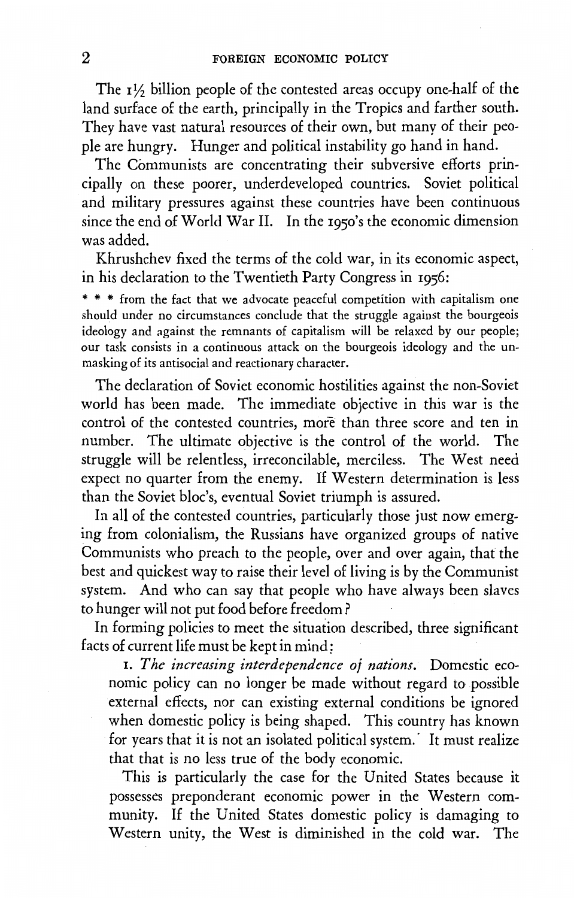The  $I_2$  billion people of the contested areas occupy one-half of the land surface of the earth, principally in the Tropics and farther south. They have vast natural resources of their own, but many of their people are hungry. Hunger and political instability go hand in hand.

The Communists are concentrating their subversive efforts principally on these poorer, underdeveloped countries. Soviet political and military pressures against these countries have been continuous since the end of World War II. In the 1950's the economic dimension was added.

Khrushchev fixed the terms of the cold war, in its economic aspect, in his declaration to the Twentieth Party Congress in 1956:

\* \* \* from the fact that we advocate peaceful competition with capitalism one should under no circumstances conclude that the struggle against the bourgeois ideology and against the remnants of capitalism will be relaxed by our people; our task consists in a continuous attack on the bourgeois ideology and the unmasking of its antisocial and reactionary character.

The declaration of Soviet economic hostilities against the non-Soviet world has been made. The immediate objective in this war is the control of the contested countries, more than three score and ten in number. The ultimate objective is the control of the world. The struggle will be relentless, irreconcilable, merciless. The West need expect no quarter from the enemy. If Western determination is less than the Soviet bloc's, eventual Soviet triumph is assured.

In all of the contested countries, particularly those just now emerging from colonialism, the Russians have organized groups of native Communists who preach to the people, over and over again, that the best and quickest way to raise their level of living is by the Communist system. And who can say that people who have always been slaves to hunger will not put food before freedom?

In forming policies to meet the situation described, three significant facts of current life must be kept in mind;

I. *The increasing interdependence of nations.* Domestic economic policy can no longer be made without regard to possible external effects, nor can existing external conditions be ignored when domestic policy is being shaped. This country has known for years that it is not an isolated political system. It must realize that that is no less true of the body economic.

This is particularly the case for the United States because it possesses preponderant economic power in the Western community. If the United States domestic policy is damaging to Western unity, the West is diminished in the cold war. The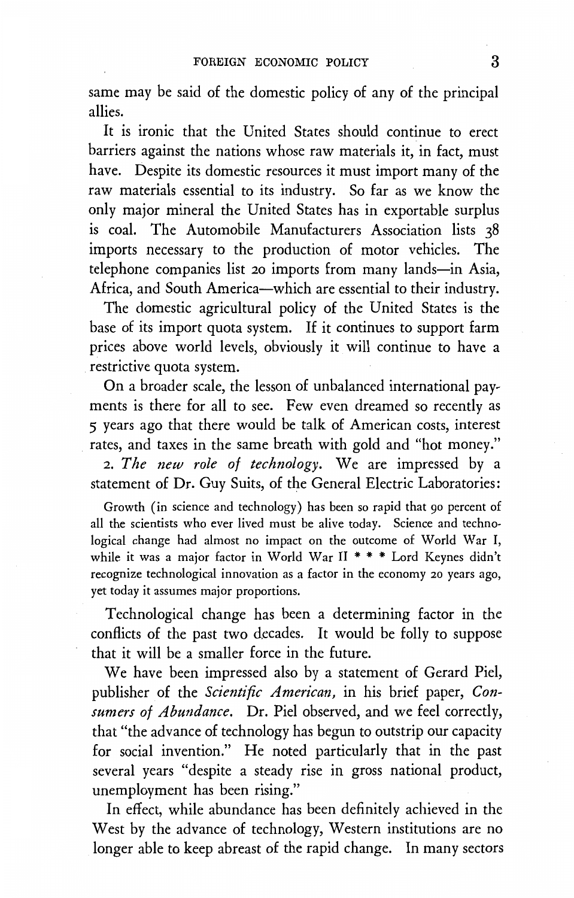same may be said of the domestic policy of any of the principal allies.

It is ironic that the United States should continue to erect barriers against the nations whose raw materials it, in fact, must have. Despite its domestic resources it must import many of the raw materials essential to its industry. So far as we know the only major mineral the United States has in exportable surplus is coal. The Automobile Manufacturers Association lists 38 imports necessary to the production of motor vehicles. The telephone companies list 20 imports from many lands-in Asia, Africa, and South America-which are essential to their industry.

The domestic agricultural policy of the United States is the base of its import quota system. If it continues to support farm prices above world levels, obviously it will continue to have a restrictive quota system.

On a broader scale, the lesson of unbalanced international payments is there for all to see. Few even dreamed so recently as 5 years ago that there would be talk of American costs, interest rates, and taxes in the same breath with gold and "hot money."

*2. The new role of technology.* We are impressed by a statement of Dr. Guy Suits, of the General Electric Laboratories:

Growth (in science and technology) has been so rapid that 90 percent of all the scientists who ever lived must be alive today. Science and technological change had almost no impact on the outcome of World War I, while it was a major factor in World War II \* \* \* Lord Keynes didn't recognize technological innovation as a factor in the economy 20 years ago, yet today it assumes major proportions.

Technological change has been a determining factor in the conflicts of the past two decades. It would be folly to suppose that it will be a smaller force in the future.

We have been impressed also by a statement of Gerard Piel, publisher of the *Scientific American,* in his brief paper, *Consumers of Abundance.* Dr. Pie1 observed, and we feel correctly, that "the advance of technology has begun to outstrip our capacity for social invention." He noted particularly that in the past several years "despite a steady rise in gross national product, unemployment has been rising."

In effect, while abundance has been definitely achieved in the West by the advance of technology, Western institutions are no longer able to keep abreast of the rapid change. In many sectors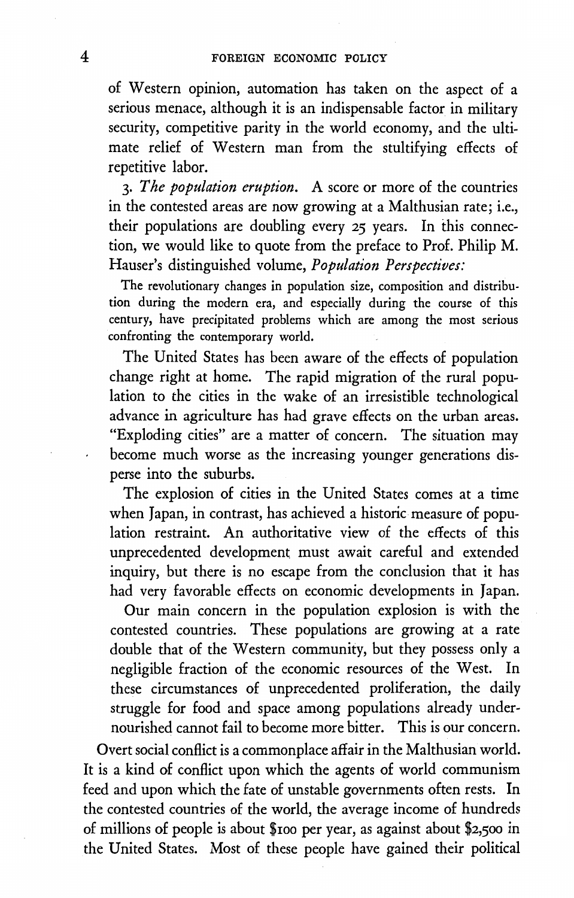of Western opinion, automation has taken on the aspect of a serious menace, although it is an indispensable factor in military security, competitive parity in the world economy, and the ultimate relief of Western man from the stultifying effects of repetitive labor.

3. *The population eruption.* A score or more of the countries in the contested areas are now growing at a Malthusian rate; i.e., their populations are doubling every 25 years. In this connection, we would like to quote from the preface to Prof. Philip M. Hauser's distinguished volume, *Population Perspectives:*

The revolutionary changes in population size, composition and distribution during the modern era, and especially during the course of this century, have precipitated problems which are among the most serious confronting the contemporary world.

The United States has been aware of the effects of population change right at home. The rapid migration of the rural population to the cities in the wake of an irresistible technological advance in agriculture has had grave effects on the urban areas. "Exploding cities" are a matter of concern. The situation may become much worse as the increasing younger generations disperse into the suburbs.

The explosion of cities in the United States comes at a time when Japan, in contrast, has achieved a historic measure of population restraint. An authoritative view of the effects of this unprecedented development must await careful and extended inquiry, but there is no escape from the conclusion that it has had very favorable effects on economic developments in Japan.

Our main concern in the population explosion is with the contested countries. These populations are growing at a rate double that of the Western community, but they possess only a negligible fraction of the economic resources of the West. In these circumstances of unprecedented proliferation, the daily struggle for food and space among populations already undernourished cannot fail to become more bitter. This is our concern.

Overt social conflict is a commonplace affair in the Malthusian world. It is a kind of conflict upon which the agents of world communism feed and upon which the fate of unstable governments often rests. In the contested countries of the world, the average income of hundreds of millions of people is about \$100 per year, as against about \$2,500 in the United States. Most of these people have gained their political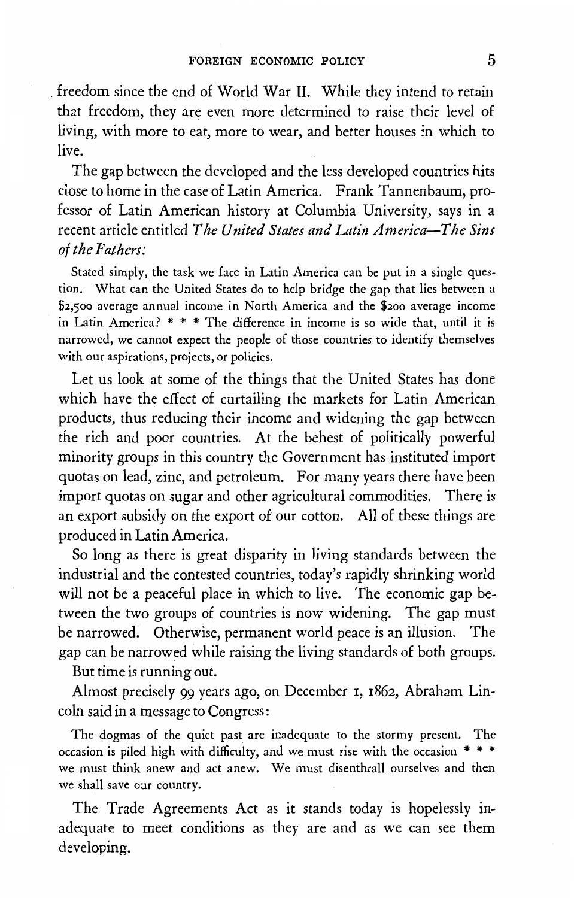freedom since the end of World War II. While they intend to retain that freedom, they are even more determined to raise their level of living, with more to eat, more to wear, and better houses in which to live.

The gap between the developed and the less developed countries hits close to home in the case of Latin America. Frank Tannenbaum, professor of Latin American history at Columbia University, says in a recent article entitled *The United States and Latin A merica-The Sins of the Fathers:*

Stated simply, the task we face in Latin America can be put in a single question. What can the United States do to help bridge the gap that lies between a \$2,500 average annual income in North America and the \$200 average income in Latin America? \* \* \* The difference in income is so wide that, until it is narrowed, we cannot expect the people of those countries to identify themselves with our aspirations, projects, or policies.

Let us look at some of the things that the United States has done which have the effect of curtailing the markets for Latin American products, thus reducing their income and widening the gap between the rich and poor countries. At the behest of politically powerful minority groups in this country the Government has instituted import quotas on lead, zinc, and petroleum. For many years there have been import quotas on sugar and other agricultural commodities. There is an export subsidy on the export of our cotton. All of these things are produced in Latin America.

So long as there is great disparity in living standards between the industrial and the contested countries, today's rapidly shrinking world will not be a peaceful place in which to live. The economic gap between the two groups of countries is now widening. The gap must be narrowed. Otherwise, permanent world peace is an illusion. The gap can be narrowed while raising the living standards of both groups.

But time is running out.

Almost precisely 99 years ago, on December I, 1862, Abraham Lincoln said in a message to Congress:

The dogmas of the quiet past are inadequate to the stormy present. The occasion is piled high with difficulty, and we must rise with the occasion  $* * *$ we must think anew and act anew. We must disenthrall ourselves and then we shall save our country.

The Trade Agreements Act as it stands today is hopelessly inadequate to meet conditions as they are and as we can see them developing.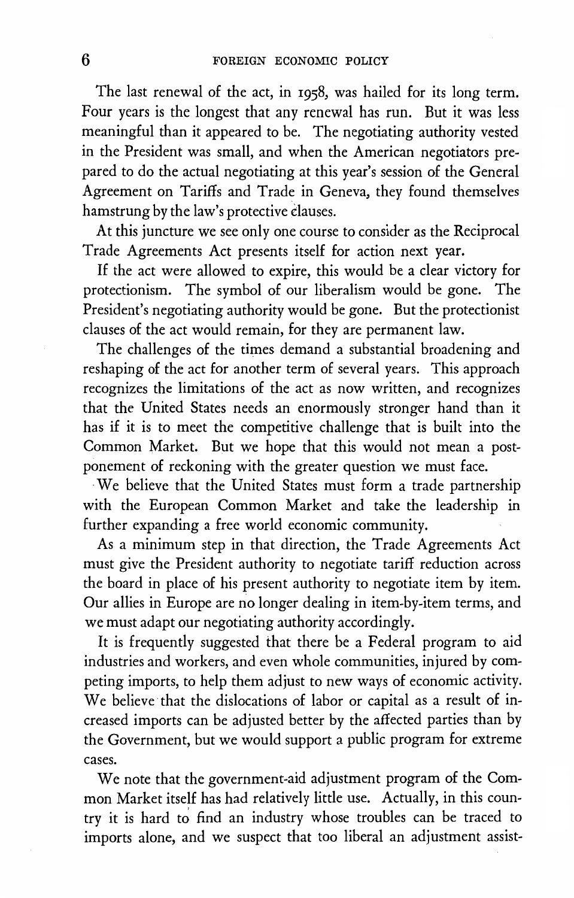The last renewal of the act, in 1958, was hailed for its long term. Four years is the longest that any renewal has run. But it was less meaningful than it appeared to be. The negotiating authority vested in the President was small, and when the American negotiators prepared to do the actual negotiating at this year's session of the General Agreement on Tariffs and Trade in Geneva, they found themselves hamstrung by the law's protective clauses.

At this juncture we see only one course to consider as the Reciprocal Trade Agreements Act presents itself for action next year.

If the act were allowed to expire, this would be a clear victory for protectionism. The symbol of our liberalism would be gone. The President's negotiating authority would be gone. But the protectionist clauses of the act would remain, for they are permanent law.

The challenges of the times demand a substantial broadening and reshaping of the act for another term of several years. This approach recognizes the limitations of the act as now written, and recognizes that the United States needs an enormously stronger hand than it has if it is to meet the competitive challenge that is built into the Common Market. But we hope that this would not mean a postponement of reckoning with the greater question we must face.

.We believe that the United States must form a trade partnership with the European Common Market and take the leadership in further expanding a free world economic community.

As a minimum step in that direction, the Trade Agreements Act must give the President authority to negotiate tariff reduction across the board in place of his present authority to negotiate item by item. Our allies in Europe are no longer dealing in item-by-item terms, and we must adapt our negotiating authority accordingly.

It is frequently suggested that there be a Federal program to aid industries and workers, and even whole communities, injured by competing imports, to help them adjust to new ways of economic activity. We believe that the dislocations of labor or capital as a result of increased imports can be adjusted better by the affected parties than by the Government, but we would support a public program for extreme cases.

We note that the government-aid adjustment program of the Common Market itself has had relatively little use. Actually, in this country it is hard to find an industry whose troubles can be traced to imports alone, and we suspect that too liberal an adjustment assist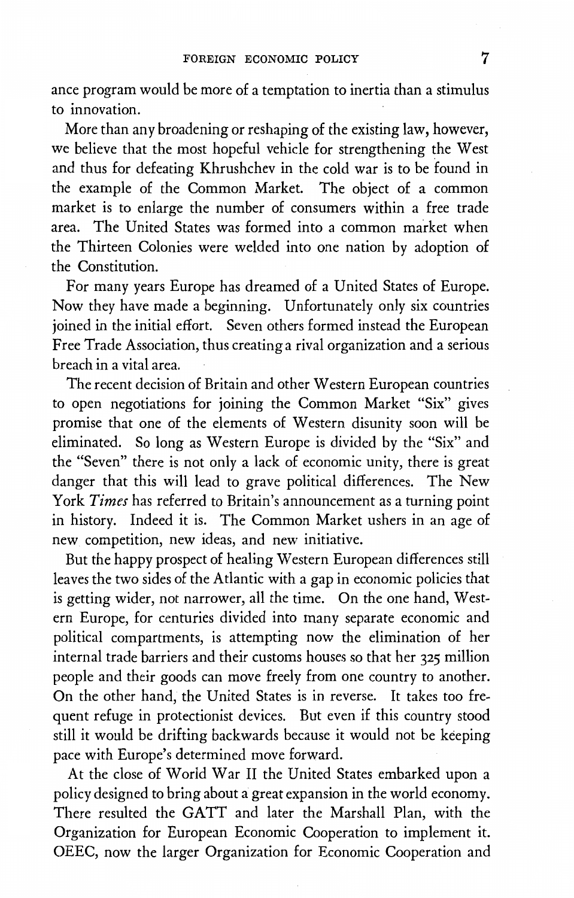ance program would be more of a temptation to inertia than a stimulus to innovation.

More than any broadening or reshaping of the existing law, however, we believe that the most hopeful vehicle for strengthening the West and thus for defeating Khrushchev in the cold war is to be found in the example of the Common Market. The object of a common market is to enlarge the number of consumers within a free trade area. The United States was formed into a common market when the Thirteen Colonies were welded into one nation by adoption of the Constitution.

For many years Europe has dreamed of a United States of Europe. Now they have made a beginning. Unfortunately only six countries joined in the initial effort. Seven others formed instead the European Free Trade Association, thus creating a rival organization and a serious breach in a vital area.

The recent decision of Britain and other Western European countries to open negotiations for joining the Common Market "Six" gives promise that one of the elements of Western disunity soon will be eliminated. So long as Western Europe is divided by the "Six" and the "Seven" there is not only a lack of economic unity, there is great danger that this will lead to grave political differences. The New York *Times* has referred to Britain's announcement as a turning point in history. Indeed it is. The Common Market ushers in an age of new competition, new ideas, and new initiative.

But the happy prospect of healing Western European differences still leaves the two sides of the Atlantic with a gap in economic policies that is getting wider, not narrower, all the time. On the one hand, Western Europe, for centuries divided into many separate economic and political compartments, is attempting now the elimination of her internal trade barriers and their customs houses so that her 325 million people and their goods can move freely from one country to another. On the other hand, the United States is in reverse. It takes too frequent refuge in protectionist devices. But even if this country stood still it would be drifting backwards because it would not be keeping pace with Europe's determined move forward.

At the close of World War II the United States embarked upon a policy designed to bring about a great expansion in the world economy. There resulted the GATT and later the Marshall Plan, with the Organization for European Economic Cooperation to implement it. OEEC, now the larger Organization for Economic Cooperation and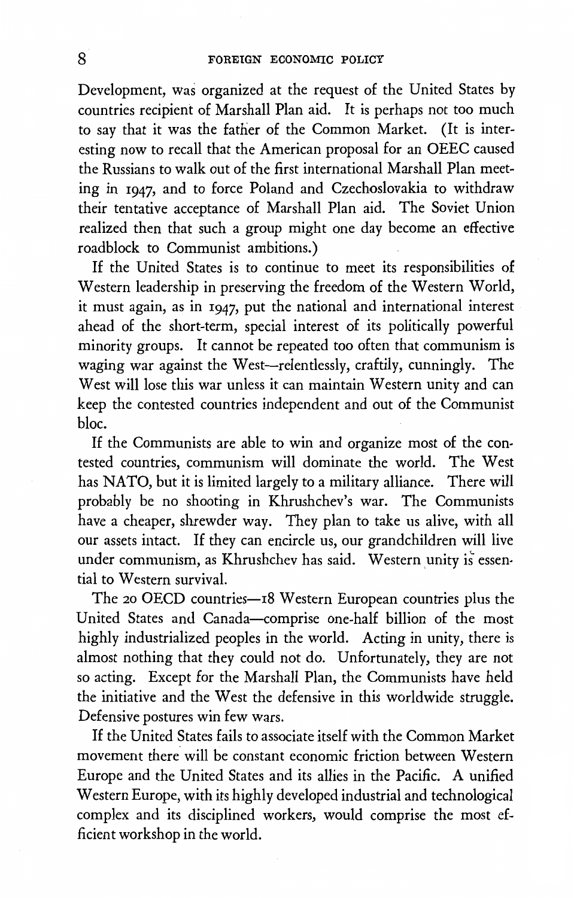Development, was organized at the request of the United States by countries recipient of Marshall Plan aid. It is perhaps not too much to say that it was the father of the Common Market. (It is interesting now to recall that the American proposal for an OEEC caused the Russians to walk out of the first international Marshall Plan meeting in 1947, and to force Poland and Czechoslovakia to withdraw their tentative acceptance of Marshall Plan aid. The Soviet Union realized then that such a group might one day become an effective roadblock to Communist ambitions.)

If the United States is to continue to meet its responsibilities of Western leadership in preserving the freedom of the Western World, it must again, as in 1947, put the national and international interest ahead of the short-term, special interest of its politically powerful minority groups. It cannot be repeated too often that communism is waging war against the West-relentlessly, craftily, cunningly. The West will lose this war unless it can maintain Western unity and can keep the contested countries independent and out of the Communist bloc.

If the Communists are able to win and organize most of the con· tested countries, communism will dominate the world. The West has NATO, but it is limited largely to a military alliance. There will probably be no shooting in Khrushchev's war. The Communists have a cheaper, shrewder way. They plan to take us alive, with all our assets intact. If they can encircle us, our grandchildren will live under communism, as Khrushchev has said. Western unity is essential to Western survival.

The 20 OECD countries-18 Western European countries plus the United States and Canada-comprise one-half billion of the most highly industrialized peoples in the world. Acting in unity, there is almost nothing that they could not do. Unfortunately, they are not so acting. Except for the Marshall Plan, the Communists have held the initiative and the West the defensive in this worldwide struggle. Defensive postures win few wars.

If the United States fails to associate itself with the Common Market movement there will be constant economic friction between Western Europe and the United States and its allies in the Pacific. A unified Western Europe, with its highly developed industrial and technological complex and its disciplined workers, would comprise the most efficient workshop in the world.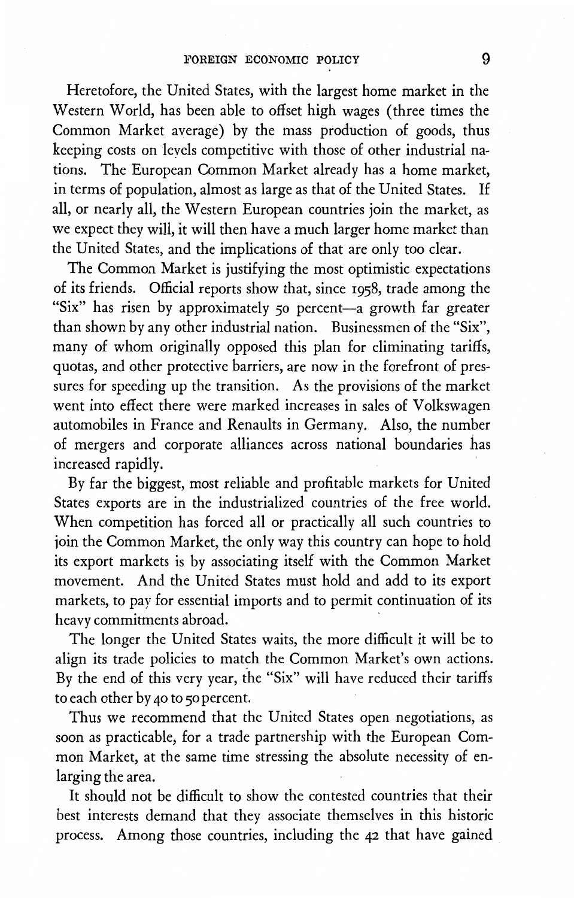Heretofore, the United States, with the largest home market in the Western WorId, has been able to offset high wages (three times the Common Market average) by the mass production of goods, thus keeping costs on leyels competitive with those of other industrial nations. The European Common Market already has a home market, in terms of population, almost as large as that of the United States. If all, or nearly all, the Western European countries join the market, as we expect they will, it will then have a much larger home market than the United States, and the implications of that are only too clear.

The Common Market is justifying the most optimistic expectations of its friends. Official reports show that, since 1958, trade among the "Six" has risen by approximately 50 percent-a growth far greater than shown by any other industrial nation. Businessmen of the "Six", many of whom originally opposed this plan for eliminating tariffs, quotas, and other protective barriers, are now in the forefront of pressures for speeding up the transition. As the provisions of the market went into effect there were marked increases in sales of Volkswagen automobiles in France and Renaults in Germany. Also, the number of mergers and corporate alliances across national boundaries has increased rapidly.

By far the biggest, most reliable and profitable markets for United States exports are in the industrialized countries of the free world. When competition has forced all or practically all such countries to join the Common Market, the only way this country can hope to hold its export markets is by associating itself with the Common Market movement. And the United States must hold and add to its export markets, to pay for essential imports and to permit continuation of its heavy commitments abroad. '

The longer the United States waits, the more difficult it will be to align its trade policies to match the Common Market's own actions. By the end of this very year, the "Six" will have reduced their tariffs to each other by 40 to 50 percent.

Thus we recommend that the United States open negotiations, as soon as practicable, for a trade partnership with the European Common Market, at the same time stressing the absolute necessity of enlarging the area.

It should not be difficult to show the contested countries that their best interests demand that they associate themselves in this historic process. Among those countries, including the 42 that have gained